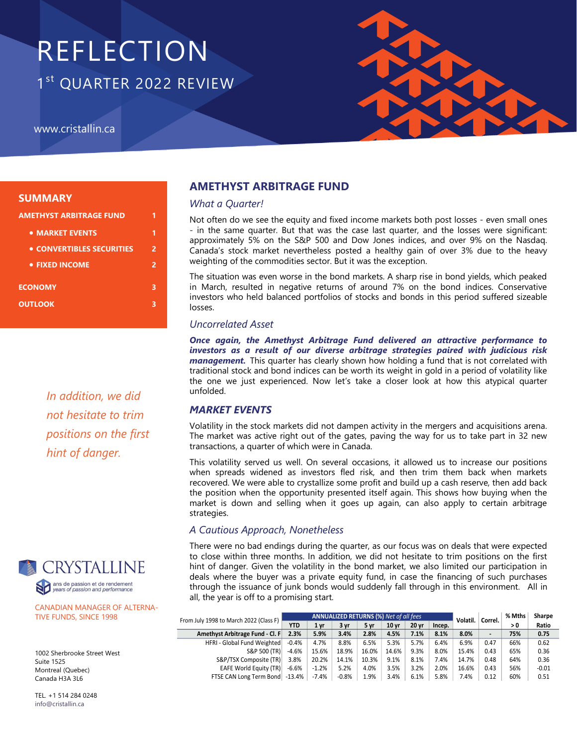# REFLECTION 1st QUARTER 2022 REVIEW

www.cristallin.ca



#### **SUMMARY**

| AMETHYST ARBITRAGE FUND   | 1 |
|---------------------------|---|
| • MARKET EVENTS           | 1 |
| • CONVERTIBLES SECURITIES | 2 |
| • FIXED INCOME            | 2 |
| <b>ECONOMY</b>            | 3 |
| <b>OUTLOOK</b>            | 3 |
|                           |   |

*In addition, we did not hesitate to trim positions on the first hint of danger.* 



CANADIAN MANAGER OF ALTERNA-TIVE FUNDS, SINCE 1998

1002 Sherbrooke Street West Suite 1525 Montreal (Quebec) Canada H3A 3L6

TEL. +1 514 284 0248 info@cristallin.ca

# **AMETHYST ARBITRAGE FUND**

#### *What a Quarter!*

Not often do we see the equity and fixed income markets both post losses - even small ones - in the same quarter. But that was the case last quarter, and the losses were significant: approximately 5% on the S&P 500 and Dow Jones indices, and over 9% on the Nasdaq. Canada's stock market nevertheless posted a healthy gain of over 3% due to the heavy weighting of the commodities sector. But it was the exception.

The situation was even worse in the bond markets. A sharp rise in bond yields, which peaked in March, resulted in negative returns of around 7% on the bond indices. Conservative investors who held balanced portfolios of stocks and bonds in this period suffered sizeable losses.

#### *Uncorrelated Asset*

*Once again, the Amethyst Arbitrage Fund delivered an attractive performance to investors as a result of our diverse arbitrage strategies paired with judicious risk management.* This quarter has clearly shown how holding a fund that is not correlated with traditional stock and bond indices can be worth its weight in gold in a period of volatility like the one we just experienced. Now let's take a closer look at how this atypical quarter unfolded.

## *MARKET EVENTS*

Volatility in the stock markets did not dampen activity in the mergers and acquisitions arena. The market was active right out of the gates, paving the way for us to take part in 32 new transactions, a quarter of which were in Canada.

This volatility served us well. On several occasions, it allowed us to increase our positions when spreads widened as investors fled risk, and then trim them back when markets recovered. We were able to crystallize some profit and build up a cash reserve, then add back the position when the opportunity presented itself again. This shows how buying when the market is down and selling when it goes up again, can also apply to certain arbitrage strategies.

## *A Cautious Approach, Nonetheless*

There were no bad endings during the quarter, as our focus was on deals that were expected to close within three months. In addition, we did not hesitate to trim positions on the first hint of danger. Given the volatility in the bond market, we also limited our participation in deals where the buyer was a private equity fund, in case the financing of such purchases through the issuance of junk bonds would suddenly fall through in this environment. All in all, the year is off to a promising start.

| From July 1998 to March 2022 (Class F) | <b>ANNUALIZED RETURNS (%)</b> Net of all fees |         |         |       |                  |       |        | Volatil. | Correl.        | % Mths | Sharpe  |
|----------------------------------------|-----------------------------------------------|---------|---------|-------|------------------|-------|--------|----------|----------------|--------|---------|
|                                        | <b>YTD</b>                                    | 1 yr    | 3 vr    | 5 vr  | 10 <sub>vr</sub> | 20 vr | Incep. |          |                | > 0    | Ratio   |
| Amethyst Arbitrage Fund - Cl. F        | 2.3%                                          | 5.9%    | 3.4%    | 2.8%  | 4.5%             | 7.1%  | 8.1%   | 8.0%     | $\blacksquare$ | 75%    | 0.75    |
| HFRI - Global Fund Weighted            | $-0.4%$                                       | 4.7%    | 8.8%    | 6.5%  | 5.3%             | 5.7%  | 6.4%   | 6.9%     | 0.47           | 66%    | 0.62    |
| S&P 500 (TR)                           | $-4.6%$                                       | 15.6%   | 18.9%   | 16.0% | 14.6%            | 9.3%  | 8.0%   | 15.4%    | 0.43           | 65%    | 0.36    |
| S&P/TSX Composite (TR)                 | 3.8%                                          | 20.2%   | 14.1%   | 10.3% | 9.1%             | 8.1%  | 7.4%   | 14.7%    | 0.48           | 64%    | 0.36    |
| <b>EAFE World Equity (TR)</b>          | $-6.6%$                                       | $-1.2%$ | 5.2%    | 4.0%  | 3.5%             | 3.2%  | 2.0%   | 16.6%    | 0.43           | 56%    | $-0.01$ |
| FTSE CAN Long Term Bond -13.4%         |                                               | $-7.4%$ | $-0.8%$ | 1.9%  | 3.4%             | 6.1%  | 5.8%   | 7.4%     | 0.12           | 60%    | 0.51    |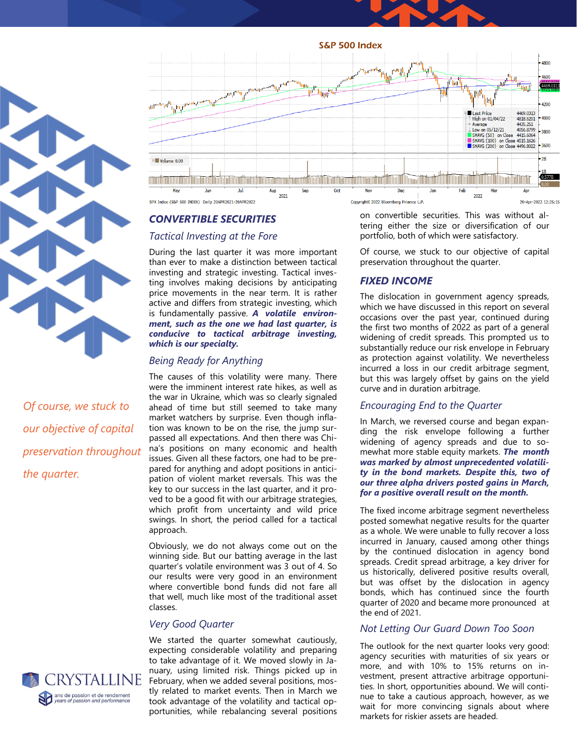



*Of course, we stuck to our objective of capital preservation throughout the quarter.* 







## *CONVERTIBLE SECURITIES*

#### *Tactical Investing at the Fore*

During the last quarter it was more important than ever to make a distinction between tactical investing and strategic investing. Tactical investing involves making decisions by anticipating price movements in the near term. It is rather active and differs from strategic investing, which is fundamentally passive. *A volatile environment, such as the one we had last quarter, is conducive to tactical arbitrage investing, which is our specialty.* 

## *Being Ready for Anything*

The causes of this volatility were many. There were the imminent interest rate hikes, as well as the war in Ukraine, which was so clearly signaled ahead of time but still seemed to take many market watchers by surprise. Even though inflation was known to be on the rise, the jump surpassed all expectations. And then there was China's positions on many economic and health issues. Given all these factors, one had to be prepared for anything and adopt positions in anticipation of violent market reversals. This was the key to our success in the last quarter, and it proved to be a good fit with our arbitrage strategies, which profit from uncertainty and wild price swings. In short, the period called for a tactical approach.

Obviously, we do not always come out on the winning side. But our batting average in the last quarter's volatile environment was 3 out of 4. So our results were very good in an environment where convertible bond funds did not fare all that well, much like most of the traditional asset

## *Very Good Quarter*

We started the quarter somewhat cautiously, expecting considerable volatility and preparing to take advantage of it. We moved slowly in January, using limited risk. Things picked up in February, when we added several positions, mostly related to market events. Then in March we took advantage of the volatility and tactical opportunities, while rebalancing several positions

on convertible securities. This was without altering either the size or diversification of our portfolio, both of which were satisfactory.

Of course, we stuck to our objective of capital preservation throughout the quarter.

## *FIXED INCOME*

The dislocation in government agency spreads, which we have discussed in this report on several occasions over the past year, continued during the first two months of 2022 as part of a general widening of credit spreads. This prompted us to substantially reduce our risk envelope in February as protection against volatility. We nevertheless incurred a loss in our credit arbitrage segment, but this was largely offset by gains on the yield curve and in duration arbitrage.

## *Encouraging End to the Quarter*

In March, we reversed course and began expanding the risk envelope following a further widening of agency spreads and due to somewhat more stable equity markets. *The month was marked by almost unprecedented volatility in the bond markets. Despite this, two of our three alpha drivers posted gains in March, for a positive overall result on the month.*

The fixed income arbitrage segment nevertheless posted somewhat negative results for the quarter as a whole. We were unable to fully recover a loss incurred in January, caused among other things by the continued dislocation in agency bond spreads. Credit spread arbitrage, a key driver for us historically, delivered positive results overall, but was offset by the dislocation in agency bonds, which has continued since the fourth quarter of 2020 and became more pronounced at the end of 2021.

# *Not Letting Our Guard Down Too Soon*

The outlook for the next quarter looks very good: agency securities with maturities of six years or more, and with 10% to 15% returns on investment, present attractive arbitrage opportunities. In short, opportunities abound. We will continue to take a cautious approach, however, as we wait for more convincing signals about where markets for riskier assets are headed.